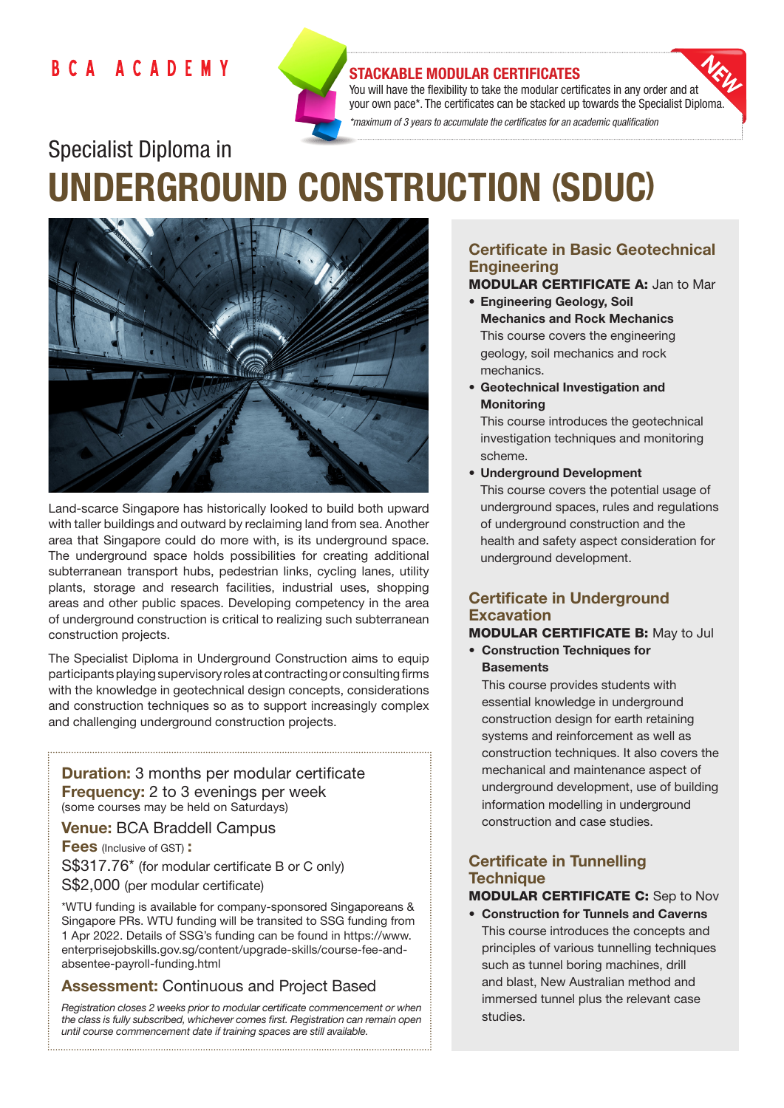## **BCA ACADEMY**



#### STACKABLE MODULAR CERTIFICATES

You will have the flexibility to take the modular certificates in any order and at your own pace\*. The certificates can be stacked up towards the Specialist Diploma. *\*maximum of 3 years to accumulate the certificates for an academic qualification* 

# Specialist Diploma in UNDERGROUND CONSTRUCTION (SDUC)



Land-scarce Singapore has historically looked to build both upward with taller buildings and outward by reclaiming land from sea. Another area that Singapore could do more with, is its underground space. The underground space holds possibilities for creating additional subterranean transport hubs, pedestrian links, cycling lanes, utility plants, storage and research facilities, industrial uses, shopping areas and other public spaces. Developing competency in the area of underground construction is critical to realizing such subterranean construction projects.

The Specialist Diploma in Underground Construction aims to equip participants playing supervisory roles at contracting or consulting firms with the knowledge in geotechnical design concepts, considerations and construction techniques so as to support increasingly complex and challenging underground construction projects.

**Duration:** 3 months per modular certificate Frequency: 2 to 3 evenings per week (some courses may be held on Saturdays)

Venue: BCA Braddell Campus

**Fees** (Inclusive of GST): S\$317.76\* (for modular certificate B or C only) S\$2,000 (per modular certificate)

\*WTU funding is available for company-sponsored Singaporeans & Singapore PRs. WTU funding will be transited to SSG funding from 1 Apr 2022. Details of SSG's funding can be found in https://www. enterprisejobskills.gov.sg/content/upgrade-skills/course-fee-andabsentee-payroll-funding.html

## Assessment: Continuous and Project Based

*Registration closes 2 weeks prior to modular certificate commencement or when the class is fully subscribed, whichever comes first. Registration can remain open until course commencement date if training spaces are still available.*

## Certificate in Basic Geotechnical **Engineering**

## MODULAR CERTIFICATE A: Jan to Mar

- Engineering Geology, Soil Mechanics and Rock Mechanics This course covers the engineering geology, soil mechanics and rock mechanics.
- Geotechnical Investigation and **Monitoring**

This course introduces the geotechnical investigation techniques and monitoring scheme.

• Underground Development

This course covers the potential usage of underground spaces, rules and regulations of underground construction and the health and safety aspect consideration for underground development.

## Certificate in Underground **Excavation**

## MODULAR CERTIFICATE B: May to Jul

• Construction Techniques for **Basements** 

This course provides students with essential knowledge in underground construction design for earth retaining systems and reinforcement as well as construction techniques. It also covers the mechanical and maintenance aspect of underground development, use of building information modelling in underground construction and case studies.

## Certificate in Tunnelling **Technique**

## MODULAR CERTIFICATE C: Sep to Nov

• Construction for Tunnels and Caverns This course introduces the concepts and principles of various tunnelling techniques such as tunnel boring machines, drill and blast, New Australian method and immersed tunnel plus the relevant case studies.